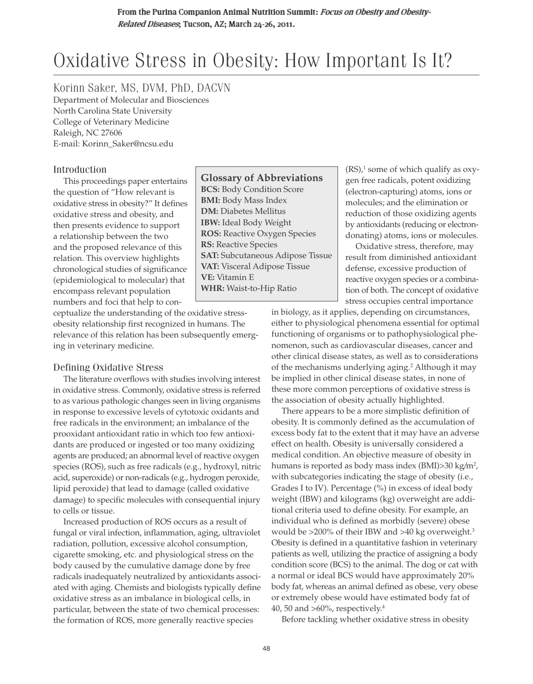# Oxidative Stress in Obesity: How Important Is It?

Korinn Saker, MS, DVM, PhD, DACVN

Department of Molecular and Biosciences North Carolina State University College of Veterinary Medicine Raleigh, NC 27606 E-mail: Korinn\_Saker@ncsu.edu

# Introduction

This proceedings paper entertains the question of "How relevant is oxidative stress in obesity?" It defines oxidative stress and obesity, and then presents evidence to support a relationship between the two and the proposed relevance of this relation. This overview highlights chronological studies of significance (epidemiological to molecular) that encompass relevant population numbers and foci that help to con-

ceptualize the understanding of the oxidative stressobesity relationship first recognized in humans. The relevance of this relation has been subsequently emerging in veterinary medicine.

# Defining Oxidative Stress

The literature overflows with studies involving interest in oxidative stress. Commonly, oxidative stress is referred to as various pathologic changes seen in living organisms in response to excessive levels of cytotoxic oxidants and free radicals in the environment; an imbalance of the prooxidant antioxidant ratio in which too few antioxidants are produced or ingested or too many oxidizing agents are produced; an abnormal level of reactive oxygen species (ROS), such as free radicals (e.g., hydroxyl, nitric acid, superoxide) or non-radicals (e.g., hydrogen peroxide, lipid peroxide) that lead to damage (called oxidative damage) to specific molecules with consequential injury to cells or tissue.

Increased production of ROS occurs as a result of fungal or viral infection, inflammation, aging, ultraviolet radiation, pollution, excessive alcohol consumption, cigarette smoking, etc. and physiological stress on the body caused by the cumulative damage done by free radicals inadequately neutralized by antioxidants associated with aging. Chemists and biologists typically define oxidative stress as an imbalance in biological cells, in particular, between the state of two chemical processes: the formation of ROS, more generally reactive species

**Glossary of Abbreviations BCS:** Body Condition Score **BMI:** Body Mass Index **DM:** Diabetes Mellitus **IBW:** Ideal Body Weight **ROS:** Reactive Oxygen Species **RS:** Reactive Species **SAT:** Subcutaneous Adipose Tissue **VAT:** Visceral Adipose Tissue **VE:** Vitamin E **WHR:** Waist-to-Hip Ratio

 $(RS)<sup>1</sup>$  some of which qualify as oxygen free radicals, potent oxidizing (electron-capturing) atoms, ions or molecules; and the elimination or reduction of those oxidizing agents by antioxidants (reducing or electrondonating) atoms, ions or molecules.

Oxidative stress, therefore, may result from diminished antioxidant defense, excessive production of reactive oxygen species or a combination of both. The concept of oxidative stress occupies central importance

in biology, as it applies, depending on circumstances, either to physiological phenomena essential for optimal functioning of organisms or to pathophysiological phenomenon, such as cardiovascular diseases, cancer and other clinical disease states, as well as to considerations of the mechanisms underlying aging.2 Although it may be implied in other clinical disease states, in none of these more common perceptions of oxidative stress is the association of obesity actually highlighted.

There appears to be a more simplistic definition of obesity. It is commonly defined as the accumulation of excess body fat to the extent that it may have an adverse effect on health. Obesity is universally considered a medical condition. An objective measure of obesity in humans is reported as body mass index (BMI)>30 kg/m², with subcategories indicating the stage of obesity (i.e., Grades I to IV). Percentage (%) in excess of ideal body weight (IBW) and kilograms (kg) overweight are additional criteria used to define obesity. For example, an individual who is defined as morbidly (severe) obese would be  $>200\%$  of their IBW and  $>40$  kg overweight.<sup>3</sup> Obesity is defined in a quantitative fashion in veterinary patients as well, utilizing the practice of assigning a body condition score (BCS) to the animal. The dog or cat with a normal or ideal BCS would have approximately 20% body fat, whereas an animal defined as obese, very obese or extremely obese would have estimated body fat of 40, 50 and  $>60\%$ , respectively.<sup>4</sup>

Before tackling whether oxidative stress in obesity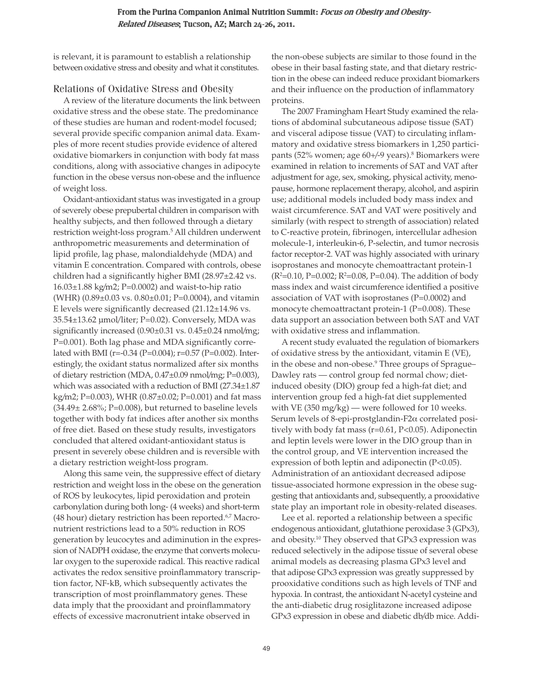is relevant, it is paramount to establish a relationship between oxidative stress and obesity and what it constitutes.

### Relations of Oxidative Stress and Obesity

A review of the literature documents the link between oxidative stress and the obese state. The predominance of these studies are human and rodent-model focused; several provide specific companion animal data. Examples of more recent studies provide evidence of altered oxidative biomarkers in conjunction with body fat mass conditions, along with associative changes in adipocyte function in the obese versus non-obese and the influence of weight loss.

Oxidant-antioxidant status was investigated in a group of severely obese prepubertal children in comparison with healthy subjects, and then followed through a dietary restriction weight-loss program.5 All children underwent anthropometric measurements and determination of lipid profile, lag phase, malondialdehyde (MDA) and vitamin E concentration. Compared with controls, obese children had a significantly higher BMI (28.97±2.42 vs.  $16.03\pm1.88$  kg/m2; P=0.0002) and waist-to-hip ratio (WHR)  $(0.89\pm0.03 \text{ vs. } 0.80\pm0.01; P=0.0004)$ , and vitamin E levels were significantly decreased (21.12±14.96 vs. 35.54±13.62 μmol/liter; P=0.02). Conversely, MDA was significantly increased (0.90±0.31 vs. 0.45±0.24 nmol/mg; P=0.001). Both lag phase and MDA significantly correlated with BMI (r=-0.34 (P=0.004); r=0.57 (P=0.002). Interestingly, the oxidant status normalized after six months of dietary restriction (MDA, 0.47±0.09 nmol/mg; P=0.003), which was associated with a reduction of BMI (27.34±1.87 kg/m2; P=0.003), WHR (0.87±0.02; P=0.001) and fat mass  $(34.49 \pm 2.68\%; P=0.008)$ , but returned to baseline levels together with body fat indices after another six months of free diet. Based on these study results, investigators concluded that altered oxidant-antioxidant status is present in severely obese children and is reversible with a dietary restriction weight-loss program.

Along this same vein, the suppressive effect of dietary restriction and weight loss in the obese on the generation of ROS by leukocytes, lipid peroxidation and protein carbonylation during both long- (4 weeks) and short-term (48 hour) dietary restriction has been reported.<sup>6,7</sup> Macronutrient restrictions lead to a 50% reduction in ROS generation by leucocytes and adiminution in the expression of NADPH oxidase, the enzyme that converts molecular oxygen to the superoxide radical. This reactive radical activates the redox sensitive proinflammatory transcription factor, NF-kB, which subsequently activates the transcription of most proinflammatory genes. These data imply that the prooxidant and proinflammatory effects of excessive macronutrient intake observed in

the non-obese subjects are similar to those found in the obese in their basal fasting state, and that dietary restriction in the obese can indeed reduce proxidant biomarkers and their influence on the production of inflammatory proteins.

The 2007 Framingham Heart Study examined the relations of abdominal subcutaneous adipose tissue (SAT) and visceral adipose tissue (VAT) to circulating inflammatory and oxidative stress biomarkers in 1,250 participants (52% women; age 60+/-9 years).8 Biomarkers were examined in relation to increments of SAT and VAT after adjustment for age, sex, smoking, physical activity, menopause, hormone replacement therapy, alcohol, and aspirin use; additional models included body mass index and waist circumference. SAT and VAT were positively and similarly (with respect to strength of association) related to C-reactive protein, fibrinogen, intercellular adhesion molecule-1, interleukin-6, P-selectin, and tumor necrosis factor receptor-2. VAT was highly associated with urinary isoprostanes and monocyte chemoattractant protein-1 (R<sup>2</sup>=0.10, P=0.002; R<sup>2</sup>=0.08, P=0.04). The addition of body mass index and waist circumference identified a positive association of VAT with isoprostanes (P=0.0002) and monocyte chemoattractant protein-1 (P=0.008). These data support an association between both SAT and VAT with oxidative stress and inflammation.

A recent study evaluated the regulation of biomarkers of oxidative stress by the antioxidant, vitamin E (VE), in the obese and non-obese.<sup>9</sup> Three groups of Sprague– Dawley rats — control group fed normal chow; dietinduced obesity (DIO) group fed a high-fat diet; and intervention group fed a high-fat diet supplemented with VE  $(350 \text{ mg/kg})$  — were followed for 10 weeks. Serum levels of 8-epi-prostglandin- $F2\alpha$  correlated positively with body fat mass (r=0.61, P<0.05). Adiponectin and leptin levels were lower in the DIO group than in the control group, and VE intervention increased the expression of both leptin and adiponectin (P<0.05). Administration of an antioxidant decreased adipose tissue-associated hormone expression in the obese suggesting that antioxidants and, subsequently, a prooxidative state play an important role in obesity-related diseases.

Lee et al. reported a relationship between a specific endogenous antioxidant, glutathione peroxidase 3 (GPx3), and obesity.10 They observed that GPx3 expression was reduced selectively in the adipose tissue of several obese animal models as decreasing plasma GPx3 level and that adipose GPx3 expression was greatly suppressed by prooxidative conditions such as high levels of TNF and hypoxia. In contrast, the antioxidant N-acetyl cysteine and the anti-diabetic drug rosiglitazone increased adipose GPx3 expression in obese and diabetic db/db mice. Addi-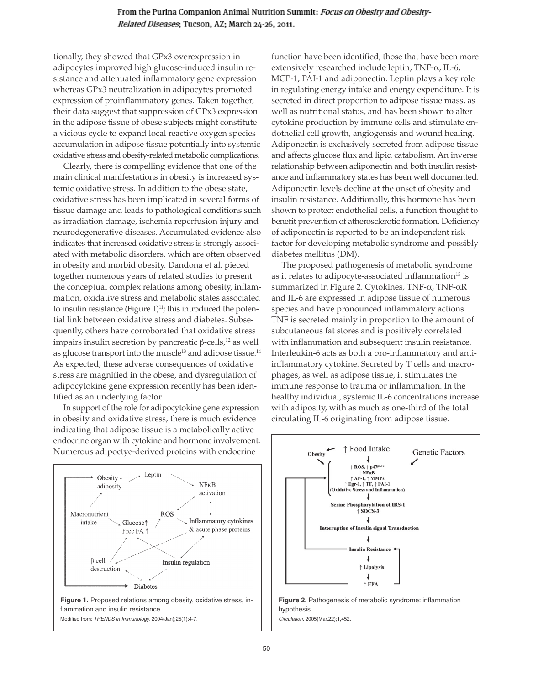#### From the Purina Companion Animal Nutrition Summit: Focus on Obesity and Obesity-Related Diseases; Tucson, AZ; March 24-26, 2011.

tionally, they showed that GPx3 overexpression in adipocytes improved high glucose-induced insulin resistance and attenuated inflammatory gene expression whereas GPx3 neutralization in adipocytes promoted expression of proinflammatory genes. Taken together, their data suggest that suppression of GPx3 expression in the adipose tissue of obese subjects might constitute a vicious cycle to expand local reactive oxygen species accumulation in adipose tissue potentially into systemic oxidative stress and obesity-related metabolic complications.

Clearly, there is compelling evidence that one of the main clinical manifestations in obesity is increased systemic oxidative stress. In addition to the obese state, oxidative stress has been implicated in several forms of tissue damage and leads to pathological conditions such as irradiation damage, ischemia reperfusion injury and neurodegenerative diseases. Accumulated evidence also indicates that increased oxidative stress is strongly associated with metabolic disorders, which are often observed in obesity and morbid obesity. Dandona et al. pieced together numerous years of related studies to present the conceptual complex relations among obesity, inflammation, oxidative stress and metabolic states associated to insulin resistance (Figure  $1$ )<sup>11</sup>; this introduced the potential link between oxidative stress and diabetes. Subsequently, others have corroborated that oxidative stress impairs insulin secretion by pancreatic  $\beta$ -cells,<sup>12</sup> as well as glucose transport into the muscle<sup>13</sup> and adipose tissue.<sup>14</sup> As expected, these adverse consequences of oxidative stress are magnified in the obese, and dysregulation of adipocytokine gene expression recently has been identified as an underlying factor.

In support of the role for adipocytokine gene expression in obesity and oxidative stress, there is much evidence indicating that adipose tissue is a metabolically active endocrine organ with cytokine and hormone involvement. Numerous adipoctye-derived proteins with endocrine



function have been identified; those that have been more extensively researched include leptin, TNF- $\alpha$ , IL-6, MCP-1, PAI-1 and adiponectin. Leptin plays a key role in regulating energy intake and energy expenditure. It is secreted in direct proportion to adipose tissue mass, as well as nutritional status, and has been shown to alter cytokine production by immune cells and stimulate endothelial cell growth, angiogensis and wound healing. Adiponectin is exclusively secreted from adipose tissue and affects glucose flux and lipid catabolism. An inverse relationship between adiponectin and both insulin resistance and inflammatory states has been well documented. Adiponectin levels decline at the onset of obesity and insulin resistance. Additionally, this hormone has been shown to protect endothelial cells, a function thought to benefit prevention of atherosclerotic formation. Deficiency of adiponectin is reported to be an independent risk factor for developing metabolic syndrome and possibly diabetes mellitus (DM).

The proposed pathogenesis of metabolic syndrome as it relates to adipocyte-associated inflammation<sup>15</sup> is summarized in Figure 2. Cytokines, TNF- $\alpha$ , TNF- $\alpha$ R and IL-6 are expressed in adipose tissue of numerous species and have pronounced inflammatory actions. TNF is secreted mainly in proportion to the amount of subcutaneous fat stores and is positively correlated with inflammation and subsequent insulin resistance. Interleukin-6 acts as both a pro-inflammatory and antiinflammatory cytokine. Secreted by T cells and macrophages, as well as adipose tissue, it stimulates the immune response to trauma or inflammation. In the healthy individual, systemic IL-6 concentrations increase with adiposity, with as much as one-third of the total circulating IL-6 originating from adipose tissue.

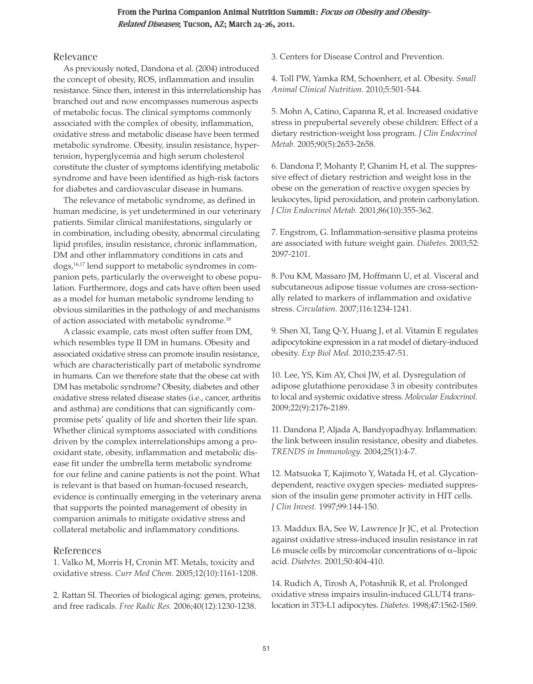#### From the Purina Companion Animal Nutrition Summit: Focus on Obesity and Obesity-Related Diseases; Tucson, AZ; March 24-26, 2011.

#### Relevance

As previously noted, Dandona et al. (2004) introduced the concept of obesity, ROS, inflammation and insulin resistance. Since then, interest in this interrelationship has branched out and now encompasses numerous aspects of metabolic focus. The clinical symptoms commonly associated with the complex of obesity, inflammation, oxidative stress and metabolic disease have been termed metabolic syndrome. Obesity, insulin resistance, hypertension, hyperglycemia and high serum cholesterol constitute the cluster of symptoms identifying metabolic syndrome and have been identified as high-risk factors for diabetes and cardiovascular disease in humans.

The relevance of metabolic syndrome, as defined in human medicine, is yet undetermined in our veterinary patients. Similar clinical manifestations, singularly or in combination, including obesity, abnormal circulating lipid profiles, insulin resistance, chronic inflammation, DM and other inflammatory conditions in cats and dogs,16,17 lend support to metabolic syndromes in companion pets, particularly the overweight to obese population. Furthermore, dogs and cats have often been used as a model for human metabolic syndrome lending to obvious similarities in the pathology of and mechanisms of action associated with metabolic syndrome.<sup>18</sup>

A classic example, cats most often suffer from DM, which resembles type II DM in humans. Obesity and associated oxidative stress can promote insulin resistance, which are characteristically part of metabolic syndrome in humans. Can we therefore state that the obese cat with DM has metabolic syndrome? Obesity, diabetes and other oxidative stress related disease states (i.e., cancer, arthritis and asthma) are conditions that can significantly compromise pets' quality of life and shorten their life span. Whether clinical symptoms associated with conditions driven by the complex interrelationships among a prooxidant state, obesity, inflammation and metabolic disease fit under the umbrella term metabolic syndrome for our feline and canine patients is not the point. What is relevant is that based on human-focused research, evidence is continually emerging in the veterinary arena that supports the pointed management of obesity in companion animals to mitigate oxidative stress and collateral metabolic and inflammatory conditions.

# References

1. Valko M, Morris H, Cronin MT. Metals, toxicity and oxidative stress. *Curr Med Chem.* 2005;12(10):1161-1208.

2. Rattan SI. Theories of biological aging: genes, proteins, and free radicals. *Free Radic Res.* 2006;40(12):1230-1238.

3. Centers for Disease Control and Prevention.

4. Toll PW, Yamka RM, Schoenherr, et al. Obesity. *Small Animal Clinical Nutrition.* 2010;5:501-544.

5. Mohn A, Catino, Capanna R, et al. Increased oxidative stress in prepubertal severely obese children: Effect of a dietary restriction-weight loss program. *J Clin Endocrinol Metab.* 2005;90(5):2653-2658.

6. Dandona P, Mohanty P, Ghanim H, et al. The suppressive effect of dietary restriction and weight loss in the obese on the generation of reactive oxygen species by leukocytes, lipid peroxidation, and protein carbonylation. *J Clin Endocrinol Metab.* 2001;86(10):355-362.

7. Engstrom, G. Inflammation-sensitive plasma proteins are associated with future weight gain. *Diabetes.* 2003;52: 2097-2101.

8. Pou KM, Massaro JM, Hoffmann U, et al. Visceral and subcutaneous adipose tissue volumes are cross-sectionally related to markers of inflammation and oxidative stress. *Circulation.* 2007;116:1234-1241.

9. Shen XI, Tang Q-Y, Huang J, et al. Vitamin E regulates adipocytokine expression in a rat model of dietary-induced obesity. *Exp Biol Med.* 2010;235:47-51.

10. Lee, YS, Kim AY, Choi JW, et al. Dysregulation of adipose glutathione peroxidase 3 in obesity contributes to local and systemic oxidative stress. *Molecular Endocrinol.* 2009;22(9):2176-2189.

11. Dandona P, Aljada A, Bandyopadhyay. Inflammation: the link between insulin resistance, obesity and diabetes. *TRENDS in Immunology.* 2004;25(1):4-7.

12. Matsuoka T, Kajimoto Y, Watada H, et al. Glycationdependent, reactive oxygen species- mediated suppression of the insulin gene promoter activity in HIT cells. *J Clin Invest.* 1997;99:144-150.

13. Maddux BA, See W, Lawrence Jr JC, et al. Protection against oxidative stress-induced insulin resistance in rat L6 muscle cells by mircomolar concentrations of  $\alpha$ -lipoic acid. *Diabetes.* 2001;50:404-410.

14. Rudich A, Tirosh A, Potashnik R, et al. Prolonged oxidative stress impairs insulin-induced GLUT4 trans location in 3T3-L1 adipocytes. *Diabetes.* 1998;47:1562-1569.